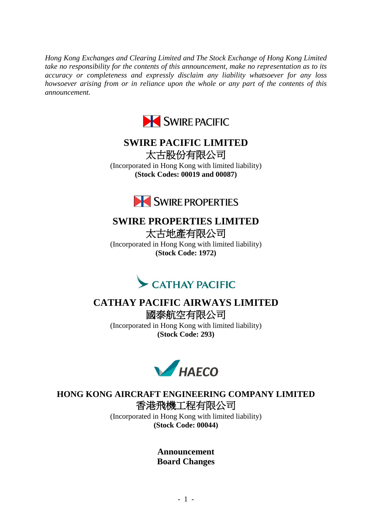*Hong Kong Exchanges and Clearing Limited and The Stock Exchange of Hong Kong Limited take no responsibility for the contents of this announcement, make no representation as to its accuracy or completeness and expressly disclaim any liability whatsoever for any loss howsoever arising from or in reliance upon the whole or any part of the contents of this announcement.*



## **SWIRE PACIFIC LIMITED** 太古股份有限公司

(Incorporated in Hong Kong with limited liability) **(Stock Codes: 00019 and 00087)**



# **SWIRE PROPERTIES LIMITED**

太古地產有限公司 (Incorporated in Hong Kong with limited liability) **(Stock Code: 1972)**



### **CATHAY PACIFIC AIRWAYS LIMITED** 國泰航空有限公司

(Incorporated in Hong Kong with limited liability) **(Stock Code: 293)**



**HONG KONG AIRCRAFT ENGINEERING COMPANY LIMITED** 香港飛機工程有限公司

> (Incorporated in Hong Kong with limited liability) **(Stock Code: 00044)**

> > **Announcement Board Changes**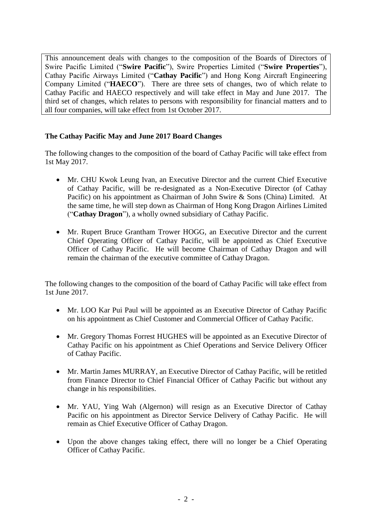This announcement deals with changes to the composition of the Boards of Directors of Swire Pacific Limited ("**Swire Pacific**"), Swire Properties Limited ("**Swire Properties**"), Cathay Pacific Airways Limited ("**Cathay Pacific**") and Hong Kong Aircraft Engineering Company Limited ("**HAECO**"). There are three sets of changes, two of which relate to Cathay Pacific and HAECO respectively and will take effect in May and June 2017. The third set of changes, which relates to persons with responsibility for financial matters and to all four companies, will take effect from 1st October 2017.

#### **The Cathay Pacific May and June 2017 Board Changes**

The following changes to the composition of the board of Cathay Pacific will take effect from 1st May 2017.

- Mr. CHU Kwok Leung Ivan, an Executive Director and the current Chief Executive of Cathay Pacific, will be re-designated as a Non-Executive Director (of Cathay Pacific) on his appointment as Chairman of John Swire & Sons (China) Limited. At the same time, he will step down as Chairman of Hong Kong Dragon Airlines Limited ("**Cathay Dragon**"), a wholly owned subsidiary of Cathay Pacific.
- Mr. Rupert Bruce Grantham Trower HOGG, an Executive Director and the current Chief Operating Officer of Cathay Pacific, will be appointed as Chief Executive Officer of Cathay Pacific. He will become Chairman of Cathay Dragon and will remain the chairman of the executive committee of Cathay Dragon.

The following changes to the composition of the board of Cathay Pacific will take effect from 1st June 2017.

- Mr. LOO Kar Pui Paul will be appointed as an Executive Director of Cathay Pacific on his appointment as Chief Customer and Commercial Officer of Cathay Pacific.
- Mr. Gregory Thomas Forrest HUGHES will be appointed as an Executive Director of Cathay Pacific on his appointment as Chief Operations and Service Delivery Officer of Cathay Pacific.
- Mr. Martin James MURRAY, an Executive Director of Cathay Pacific, will be retitled from Finance Director to Chief Financial Officer of Cathay Pacific but without any change in his responsibilities.
- Mr. YAU, Ying Wah (Algernon) will resign as an Executive Director of Cathay Pacific on his appointment as Director Service Delivery of Cathay Pacific. He will remain as Chief Executive Officer of Cathay Dragon.
- Upon the above changes taking effect, there will no longer be a Chief Operating Officer of Cathay Pacific.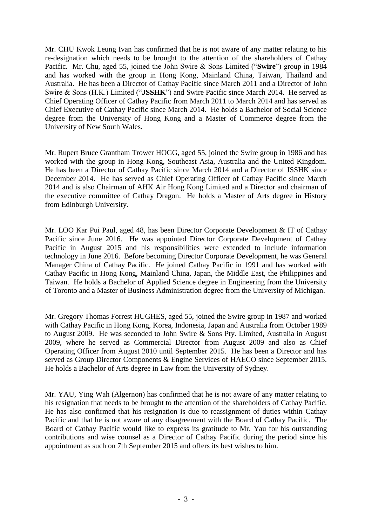Mr. CHU Kwok Leung Ivan has confirmed that he is not aware of any matter relating to his re-designation which needs to be brought to the attention of the shareholders of Cathay Pacific. Mr. Chu, aged 55, joined the John Swire & Sons Limited ("**Swire**") group in 1984 and has worked with the group in Hong Kong, Mainland China, Taiwan, Thailand and Australia. He has been a Director of Cathay Pacific since March 2011 and a Director of John Swire & Sons (H.K.) Limited ("**JSSHK**") and Swire Pacific since March 2014. He served as Chief Operating Officer of Cathay Pacific from March 2011 to March 2014 and has served as Chief Executive of Cathay Pacific since March 2014. He holds a Bachelor of Social Science degree from the University of Hong Kong and a Master of Commerce degree from the University of New South Wales.

Mr. Rupert Bruce Grantham Trower HOGG, aged 55, joined the Swire group in 1986 and has worked with the group in Hong Kong, Southeast Asia, Australia and the United Kingdom. He has been a Director of Cathay Pacific since March 2014 and a Director of JSSHK since December 2014. He has served as Chief Operating Officer of Cathay Pacific since March 2014 and is also Chairman of AHK Air Hong Kong Limited and a Director and chairman of the executive committee of Cathay Dragon. He holds a Master of Arts degree in History from Edinburgh University.

Mr. LOO Kar Pui Paul, aged 48, has been Director Corporate Development & IT of Cathay Pacific since June 2016. He was appointed Director Corporate Development of Cathay Pacific in August 2015 and his responsibilities were extended to include information technology in June 2016. Before becoming Director Corporate Development, he was General Manager China of Cathay Pacific. He joined Cathay Pacific in 1991 and has worked with Cathay Pacific in Hong Kong, Mainland China, Japan, the Middle East, the Philippines and Taiwan. He holds a Bachelor of Applied Science degree in Engineering from the University of Toronto and a Master of Business Administration degree from the University of Michigan.

Mr. Gregory Thomas Forrest HUGHES, aged 55, joined the Swire group in 1987 and worked with Cathay Pacific in Hong Kong, Korea, Indonesia, Japan and Australia from October 1989 to August 2009. He was seconded to John Swire & Sons Pty. Limited, Australia in August 2009, where he served as Commercial Director from August 2009 and also as Chief Operating Officer from August 2010 until September 2015. He has been a Director and has served as Group Director Components & Engine Services of HAECO since September 2015. He holds a Bachelor of Arts degree in Law from the University of Sydney.

Mr. YAU, Ying Wah (Algernon) has confirmed that he is not aware of any matter relating to his resignation that needs to be brought to the attention of the shareholders of Cathay Pacific. He has also confirmed that his resignation is due to reassignment of duties within Cathay Pacific and that he is not aware of any disagreement with the Board of Cathay Pacific. The Board of Cathay Pacific would like to express its gratitude to Mr. Yau for his outstanding contributions and wise counsel as a Director of Cathay Pacific during the period since his appointment as such on 7th September 2015 and offers its best wishes to him.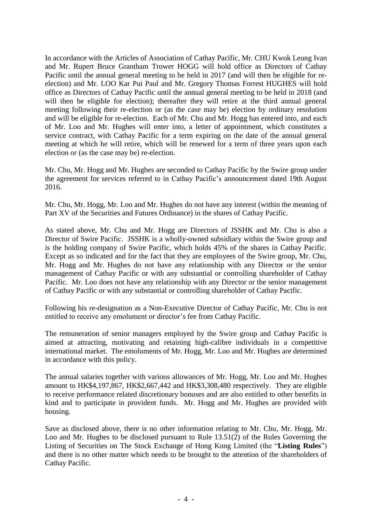In accordance with the Articles of Association of Cathay Pacific, Mr. CHU Kwok Leung Ivan and Mr. Rupert Bruce Grantham Trower HOGG will hold office as Directors of Cathay Pacific until the annual general meeting to be held in 2017 (and will then be eligible for reelection) and Mr. LOO Kar Pui Paul and Mr. Gregory Thomas Forrest HUGHES will hold office as Directors of Cathay Pacific until the annual general meeting to be held in 2018 (and will then be eligible for election); thereafter they will retire at the third annual general meeting following their re-election or (as the case may be) election by ordinary resolution and will be eligible for re-election. Each of Mr. Chu and Mr. Hogg has entered into, and each of Mr. Loo and Mr. Hughes will enter into, a letter of appointment, which constitutes a service contract, with Cathay Pacific for a term expiring on the date of the annual general meeting at which he will retire, which will be renewed for a term of three years upon each election or (as the case may be) re-election.

Mr. Chu, Mr. Hogg and Mr. Hughes are seconded to Cathay Pacific by the Swire group under the agreement for services referred to in Cathay Pacific's announcement dated 19th August 2016.

Mr. Chu, Mr. Hogg, Mr. Loo and Mr. Hughes do not have any interest (within the meaning of Part XV of the Securities and Futures Ordinance) in the shares of Cathay Pacific.

As stated above, Mr. Chu and Mr. Hogg are Directors of JSSHK and Mr. Chu is also a Director of Swire Pacific. JSSHK is a wholly-owned subsidiary within the Swire group and is the holding company of Swire Pacific, which holds 45% of the shares in Cathay Pacific. Except as so indicated and for the fact that they are employees of the Swire group, Mr. Chu, Mr. Hogg and Mr. Hughes do not have any relationship with any Director or the senior management of Cathay Pacific or with any substantial or controlling shareholder of Cathay Pacific. Mr. Loo does not have any relationship with any Director or the senior management of Cathay Pacific or with any substantial or controlling shareholder of Cathay Pacific.

Following his re-designation as a Non-Executive Director of Cathay Pacific, Mr. Chu is not entitled to receive any emolument or director's fee from Cathay Pacific.

The remuneration of senior managers employed by the Swire group and Cathay Pacific is aimed at attracting, motivating and retaining high-calibre individuals in a competitive international market. The emoluments of Mr. Hogg, Mr. Loo and Mr. Hughes are determined in accordance with this policy.

The annual salaries together with various allowances of Mr. Hogg, Mr. Loo and Mr. Hughes amount to HK\$4,197,867, HK\$2,667,442 and HK\$3,308,480 respectively. They are eligible to receive performance related discretionary bonuses and are also entitled to other benefits in kind and to participate in provident funds. Mr. Hogg and Mr. Hughes are provided with housing.

Save as disclosed above, there is no other information relating to Mr. Chu, Mr. Hogg, Mr. Loo and Mr. Hughes to be disclosed pursuant to Rule 13.51(2) of the Rules Governing the Listing of Securities on The Stock Exchange of Hong Kong Limited (the "**Listing Rules**") and there is no other matter which needs to be brought to the attention of the shareholders of Cathay Pacific.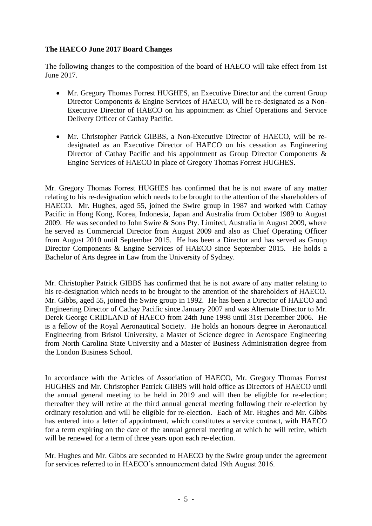#### **The HAECO June 2017 Board Changes**

The following changes to the composition of the board of HAECO will take effect from 1st June 2017.

- Mr. Gregory Thomas Forrest HUGHES, an Executive Director and the current Group Director Components & Engine Services of HAECO, will be re-designated as a Non-Executive Director of HAECO on his appointment as Chief Operations and Service Delivery Officer of Cathay Pacific.
- Mr. Christopher Patrick GIBBS, a Non-Executive Director of HAECO, will be redesignated as an Executive Director of HAECO on his cessation as Engineering Director of Cathay Pacific and his appointment as Group Director Components & Engine Services of HAECO in place of Gregory Thomas Forrest HUGHES.

Mr. Gregory Thomas Forrest HUGHES has confirmed that he is not aware of any matter relating to his re-designation which needs to be brought to the attention of the shareholders of HAECO. Mr. Hughes, aged 55, joined the Swire group in 1987 and worked with Cathay Pacific in Hong Kong, Korea, Indonesia, Japan and Australia from October 1989 to August 2009. He was seconded to John Swire & Sons Pty. Limited, Australia in August 2009, where he served as Commercial Director from August 2009 and also as Chief Operating Officer from August 2010 until September 2015. He has been a Director and has served as Group Director Components & Engine Services of HAECO since September 2015. He holds a Bachelor of Arts degree in Law from the University of Sydney.

Mr. Christopher Patrick GIBBS has confirmed that he is not aware of any matter relating to his re-designation which needs to be brought to the attention of the shareholders of HAECO. Mr. Gibbs, aged 55, joined the Swire group in 1992. He has been a Director of HAECO and Engineering Director of Cathay Pacific since January 2007 and was Alternate Director to Mr. Derek George CRIDLAND of HAECO from 24th June 1998 until 31st December 2006. He is a fellow of the Royal Aeronautical Society. He holds an honours degree in Aeronautical Engineering from Bristol University, a Master of Science degree in Aerospace Engineering from North Carolina State University and a Master of Business Administration degree from the London Business School.

In accordance with the Articles of Association of HAECO, Mr. Gregory Thomas Forrest HUGHES and Mr. Christopher Patrick GIBBS will hold office as Directors of HAECO until the annual general meeting to be held in 2019 and will then be eligible for re-election; thereafter they will retire at the third annual general meeting following their re-election by ordinary resolution and will be eligible for re-election. Each of Mr. Hughes and Mr. Gibbs has entered into a letter of appointment, which constitutes a service contract, with HAECO for a term expiring on the date of the annual general meeting at which he will retire, which will be renewed for a term of three years upon each re-election.

Mr. Hughes and Mr. Gibbs are seconded to HAECO by the Swire group under the agreement for services referred to in HAECO's announcement dated 19th August 2016.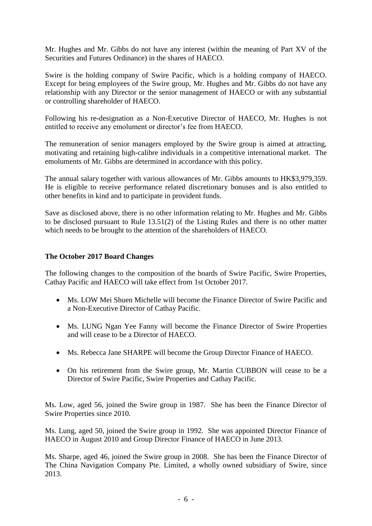Mr. Hughes and Mr. Gibbs do not have any interest (within the meaning of Part XV of the Securities and Futures Ordinance) in the shares of HAECO.

Swire is the holding company of Swire Pacific, which is a holding company of HAECO. Except for being employees of the Swire group, Mr. Hughes and Mr. Gibbs do not have any relationship with any Director or the senior management of HAECO or with any substantial or controlling shareholder of HAECO.

Following his re-designation as a Non-Executive Director of HAECO, Mr. Hughes is not entitled to receive any emolument or director's fee from HAECO.

The remuneration of senior managers employed by the Swire group is aimed at attracting, motivating and retaining high-calibre individuals in a competitive international market. The emoluments of Mr. Gibbs are determined in accordance with this policy.

The annual salary together with various allowances of Mr. Gibbs amounts to HK\$3,979,359. He is eligible to receive performance related discretionary bonuses and is also entitled to other benefits in kind and to participate in provident funds.

Save as disclosed above, there is no other information relating to Mr. Hughes and Mr. Gibbs to be disclosed pursuant to Rule 13.51(2) of the Listing Rules and there is no other matter which needs to be brought to the attention of the shareholders of HAECO.

#### **The October 2017 Board Changes**

The following changes to the composition of the boards of Swire Pacific, Swire Properties, Cathay Pacific and HAECO will take effect from 1st October 2017.

- Ms. LOW Mei Shuen Michelle will become the Finance Director of Swire Pacific and a Non-Executive Director of Cathay Pacific.
- Ms. LUNG Ngan Yee Fanny will become the Finance Director of Swire Properties and will cease to be a Director of HAECO.
- Ms. Rebecca Jane SHARPE will become the Group Director Finance of HAECO.
- On his retirement from the Swire group, Mr. Martin CUBBON will cease to be a Director of Swire Pacific, Swire Properties and Cathay Pacific.

Ms. Low, aged 56, joined the Swire group in 1987. She has been the Finance Director of Swire Properties since 2010.

Ms. Lung, aged 50, joined the Swire group in 1992. She was appointed Director Finance of HAECO in August 2010 and Group Director Finance of HAECO in June 2013.

Ms. Sharpe, aged 46, joined the Swire group in 2008. She has been the Finance Director of The China Navigation Company Pte. Limited, a wholly owned subsidiary of Swire, since 2013.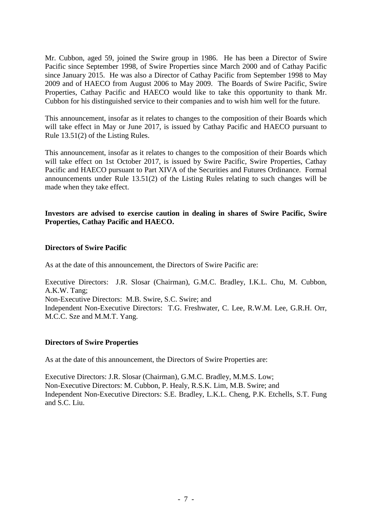Mr. Cubbon, aged 59, joined the Swire group in 1986. He has been a Director of Swire Pacific since September 1998, of Swire Properties since March 2000 and of Cathay Pacific since January 2015. He was also a Director of Cathay Pacific from September 1998 to May 2009 and of HAECO from August 2006 to May 2009. The Boards of Swire Pacific, Swire Properties, Cathay Pacific and HAECO would like to take this opportunity to thank Mr. Cubbon for his distinguished service to their companies and to wish him well for the future.

This announcement, insofar as it relates to changes to the composition of their Boards which will take effect in May or June 2017, is issued by Cathay Pacific and HAECO pursuant to Rule 13.51(2) of the Listing Rules.

This announcement, insofar as it relates to changes to the composition of their Boards which will take effect on 1st October 2017, is issued by Swire Pacific, Swire Properties, Cathay Pacific and HAECO pursuant to Part XIVA of the Securities and Futures Ordinance. Formal announcements under Rule 13.51(2) of the Listing Rules relating to such changes will be made when they take effect.

#### **Investors are advised to exercise caution in dealing in shares of Swire Pacific, Swire Properties, Cathay Pacific and HAECO.**

#### **Directors of Swire Pacific**

As at the date of this announcement, the Directors of Swire Pacific are:

Executive Directors: J.R. Slosar (Chairman), G.M.C. Bradley, I.K.L. Chu, M. Cubbon, A.K.W. Tang; Non-Executive Directors: M.B. Swire, S.C. Swire; and Independent Non-Executive Directors: T.G. Freshwater, C. Lee, R.W.M. Lee, G.R.H. Orr,

#### **Directors of Swire Properties**

M.C.C. Sze and M.M.T. Yang.

As at the date of this announcement, the Directors of Swire Properties are:

Executive Directors: J.R. Slosar (Chairman), G.M.C. Bradley, M.M.S. Low; Non-Executive Directors: M. Cubbon, P. Healy, R.S.K. Lim, M.B. Swire; and Independent Non-Executive Directors: S.E. Bradley, L.K.L. Cheng, P.K. Etchells, S.T. Fung and S.C. Liu.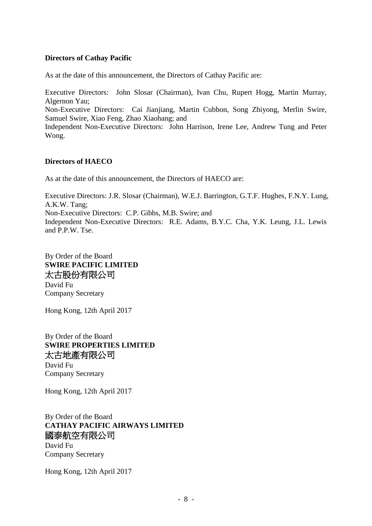#### **Directors of Cathay Pacific**

As at the date of this announcement, the Directors of Cathay Pacific are:

Executive Directors: John Slosar (Chairman), Ivan Chu, Rupert Hogg, Martin Murray, Algernon Yau;

Non-Executive Directors: Cai Jianjiang, Martin Cubbon, Song Zhiyong, Merlin Swire, Samuel Swire, Xiao Feng, Zhao Xiaohang; and

Independent Non-Executive Directors: John Harrison, Irene Lee, Andrew Tung and Peter Wong.

#### **Directors of HAECO**

As at the date of this announcement, the Directors of HAECO are:

Executive Directors: J.R. Slosar (Chairman), W.E.J. Barrington, G.T.F. Hughes, F.N.Y. Lung, A.K.W. Tang; Non-Executive Directors: C.P. Gibbs, M.B. Swire; and Independent Non-Executive Directors: R.E. Adams, B.Y.C. Cha, Y.K. Leung, J.L. Lewis and P.P.W. Tse.

By Order of the Board **SWIRE PACIFIC LIMITED** 太古股份有限公司 David Fu Company Secretary

Hong Kong, 12th April 2017

By Order of the Board **SWIRE PROPERTIES LIMITED** 太古地產有限公司 David Fu

Company Secretary

Hong Kong, 12th April 2017

By Order of the Board **CATHAY PACIFIC AIRWAYS LIMITED** 國泰航空有限公司 David Fu Company Secretary

Hong Kong, 12th April 2017